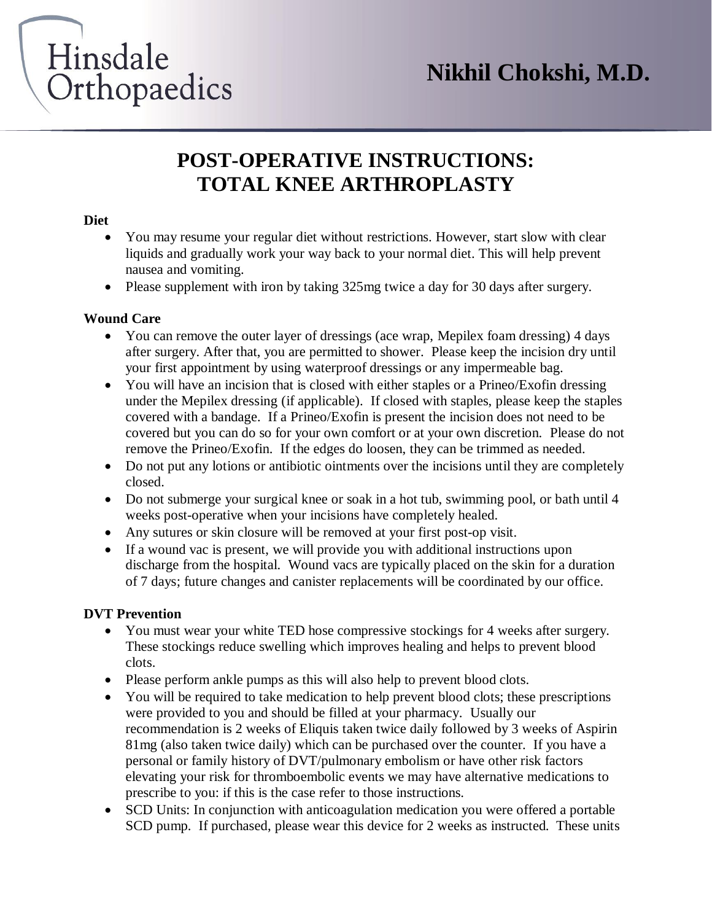# Hinsdale Orthopaedics

### **POST-OPERATIVE INSTRUCTIONS: TOTAL KNEE ARTHROPLASTY**

#### **Diet**

- You may resume your regular diet without restrictions. However, start slow with clear liquids and gradually work your way back to your normal diet. This will help prevent nausea and vomiting.
- Please supplement with iron by taking 325mg twice a day for 30 days after surgery.

#### **Wound Care**

- You can remove the outer layer of dressings (ace wrap, Mepilex foam dressing) 4 days after surgery. After that, you are permitted to shower. Please keep the incision dry until your first appointment by using waterproof dressings or any impermeable bag.
- You will have an incision that is closed with either staples or a Prineo/Exofin dressing under the Mepilex dressing (if applicable). If closed with staples, please keep the staples covered with a bandage. If a Prineo/Exofin is present the incision does not need to be covered but you can do so for your own comfort or at your own discretion. Please do not remove the Prineo/Exofin. If the edges do loosen, they can be trimmed as needed.
- Do not put any lotions or antibiotic ointments over the incisions until they are completely closed.
- Do not submerge your surgical knee or soak in a hot tub, swimming pool, or bath until 4 weeks post-operative when your incisions have completely healed.
- Any sutures or skin closure will be removed at your first post-op visit.
- If a wound vac is present, we will provide you with additional instructions upon discharge from the hospital. Wound vacs are typically placed on the skin for a duration of 7 days; future changes and canister replacements will be coordinated by our office.

#### **DVT Prevention**

- You must wear your white TED hose compressive stockings for 4 weeks after surgery. These stockings reduce swelling which improves healing and helps to prevent blood clots.
- Please perform ankle pumps as this will also help to prevent blood clots.
- You will be required to take medication to help prevent blood clots; these prescriptions were provided to you and should be filled at your pharmacy. Usually our recommendation is 2 weeks of Eliquis taken twice daily followed by 3 weeks of Aspirin 81mg (also taken twice daily) which can be purchased over the counter. If you have a personal or family history of DVT/pulmonary embolism or have other risk factors elevating your risk for thromboembolic events we may have alternative medications to prescribe to you: if this is the case refer to those instructions.
- SCD Units: In conjunction with anticoagulation medication you were offered a portable SCD pump. If purchased, please wear this device for 2 weeks as instructed. These units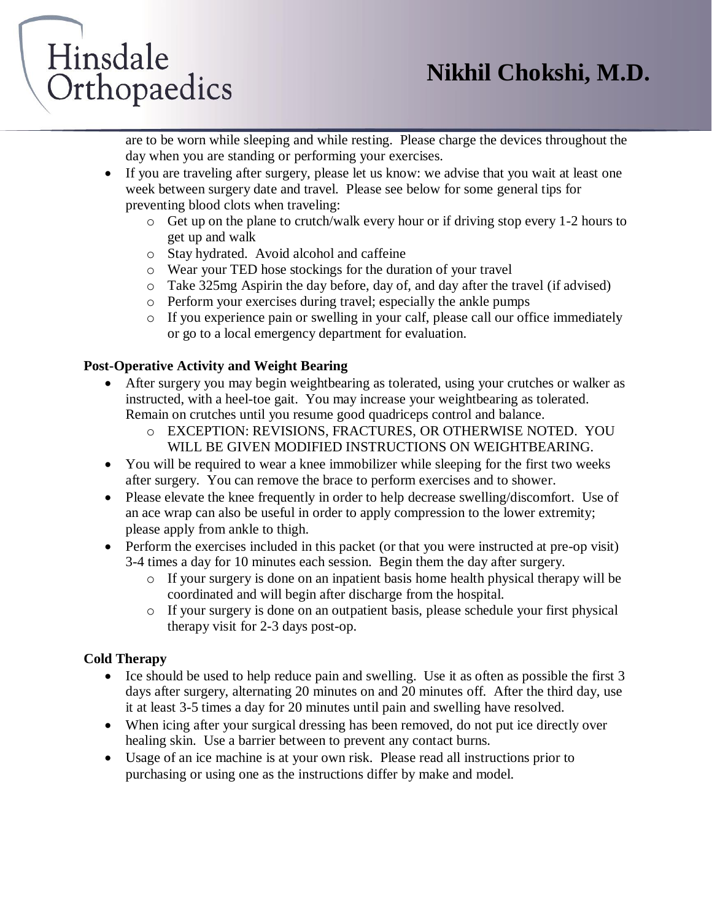# Hinsdale Orthopaedics

are to be worn while sleeping and while resting. Please charge the devices throughout the day when you are standing or performing your exercises.

- If you are traveling after surgery, please let us know: we advise that you wait at least one week between surgery date and travel. Please see below for some general tips for preventing blood clots when traveling:
	- o Get up on the plane to crutch/walk every hour or if driving stop every 1-2 hours to get up and walk
	- o Stay hydrated. Avoid alcohol and caffeine
	- o Wear your TED hose stockings for the duration of your travel
	- o Take 325mg Aspirin the day before, day of, and day after the travel (if advised)
	- o Perform your exercises during travel; especially the ankle pumps
	- o If you experience pain or swelling in your calf, please call our office immediately or go to a local emergency department for evaluation.

#### **Post-Operative Activity and Weight Bearing**

- After surgery you may begin weightbearing as tolerated, using your crutches or walker as instructed, with a heel-toe gait. You may increase your weightbearing as tolerated. Remain on crutches until you resume good quadriceps control and balance.
	- o EXCEPTION: REVISIONS, FRACTURES, OR OTHERWISE NOTED. YOU WILL BE GIVEN MODIFIED INSTRUCTIONS ON WEIGHTBEARING.
- You will be required to wear a knee immobilizer while sleeping for the first two weeks after surgery. You can remove the brace to perform exercises and to shower.
- Please elevate the knee frequently in order to help decrease swelling/discomfort. Use of an ace wrap can also be useful in order to apply compression to the lower extremity; please apply from ankle to thigh.
- Perform the exercises included in this packet (or that you were instructed at pre-op visit) 3-4 times a day for 10 minutes each session. Begin them the day after surgery.
	- o If your surgery is done on an inpatient basis home health physical therapy will be coordinated and will begin after discharge from the hospital.
	- o If your surgery is done on an outpatient basis, please schedule your first physical therapy visit for 2-3 days post-op.

#### **Cold Therapy**

- Ice should be used to help reduce pain and swelling. Use it as often as possible the first 3 days after surgery, alternating 20 minutes on and 20 minutes off. After the third day, use it at least 3-5 times a day for 20 minutes until pain and swelling have resolved.
- When icing after your surgical dressing has been removed, do not put ice directly over healing skin. Use a barrier between to prevent any contact burns.
- Usage of an ice machine is at your own risk. Please read all instructions prior to purchasing or using one as the instructions differ by make and model.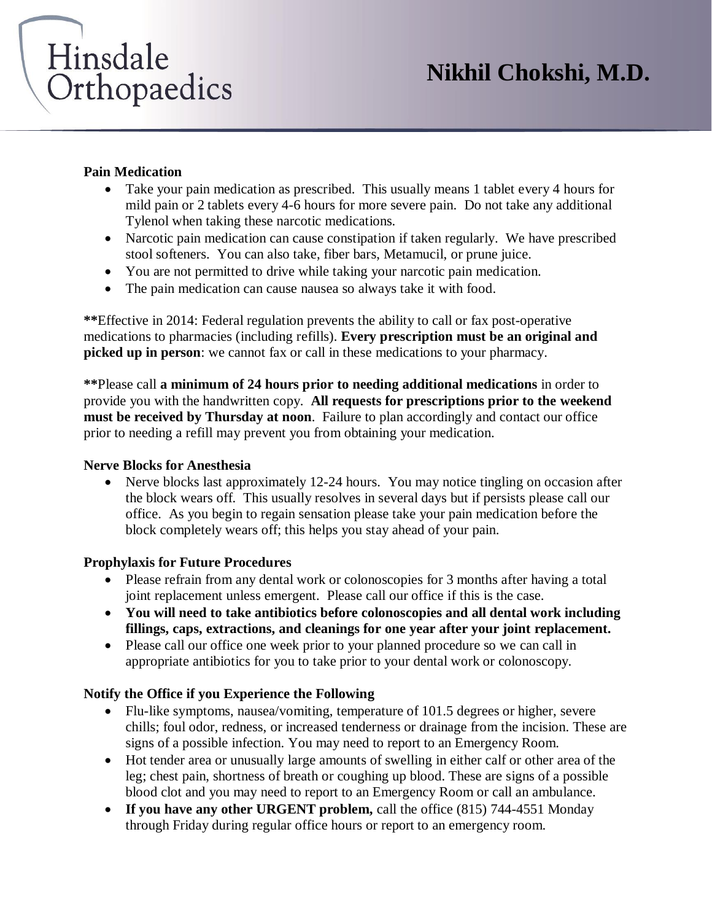# Hinsdale Orthopaedics

#### **Pain Medication**

- Take your pain medication as prescribed. This usually means 1 tablet every 4 hours for mild pain or 2 tablets every 4-6 hours for more severe pain. Do not take any additional Tylenol when taking these narcotic medications.
- Narcotic pain medication can cause constipation if taken regularly. We have prescribed stool softeners. You can also take, fiber bars, Metamucil, or prune juice.
- You are not permitted to drive while taking your narcotic pain medication.
- The pain medication can cause nausea so always take it with food.

**\*\***Effective in 2014: Federal regulation prevents the ability to call or fax post-operative medications to pharmacies (including refills). **Every prescription must be an original and picked up in person**: we cannot fax or call in these medications to your pharmacy.

**\*\***Please call **a minimum of 24 hours prior to needing additional medications** in order to provide you with the handwritten copy. **All requests for prescriptions prior to the weekend must be received by Thursday at noon**. Failure to plan accordingly and contact our office prior to needing a refill may prevent you from obtaining your medication.

#### **Nerve Blocks for Anesthesia**

• Nerve blocks last approximately 12-24 hours. You may notice tingling on occasion after the block wears off. This usually resolves in several days but if persists please call our office. As you begin to regain sensation please take your pain medication before the block completely wears off; this helps you stay ahead of your pain.

#### **Prophylaxis for Future Procedures**

- Please refrain from any dental work or colonoscopies for 3 months after having a total joint replacement unless emergent. Please call our office if this is the case.
- **You will need to take antibiotics before colonoscopies and all dental work including fillings, caps, extractions, and cleanings for one year after your joint replacement.**
- Please call our office one week prior to your planned procedure so we can call in appropriate antibiotics for you to take prior to your dental work or colonoscopy.

#### **Notify the Office if you Experience the Following**

- Flu-like symptoms, nausea/vomiting, temperature of 101.5 degrees or higher, severe chills; foul odor, redness, or increased tenderness or drainage from the incision. These are signs of a possible infection. You may need to report to an Emergency Room.
- Hot tender area or unusually large amounts of swelling in either calf or other area of the leg; chest pain, shortness of breath or coughing up blood. These are signs of a possible blood clot and you may need to report to an Emergency Room or call an ambulance.
- **If you have any other URGENT problem,** call the office (815) 744-4551 Monday through Friday during regular office hours or report to an emergency room.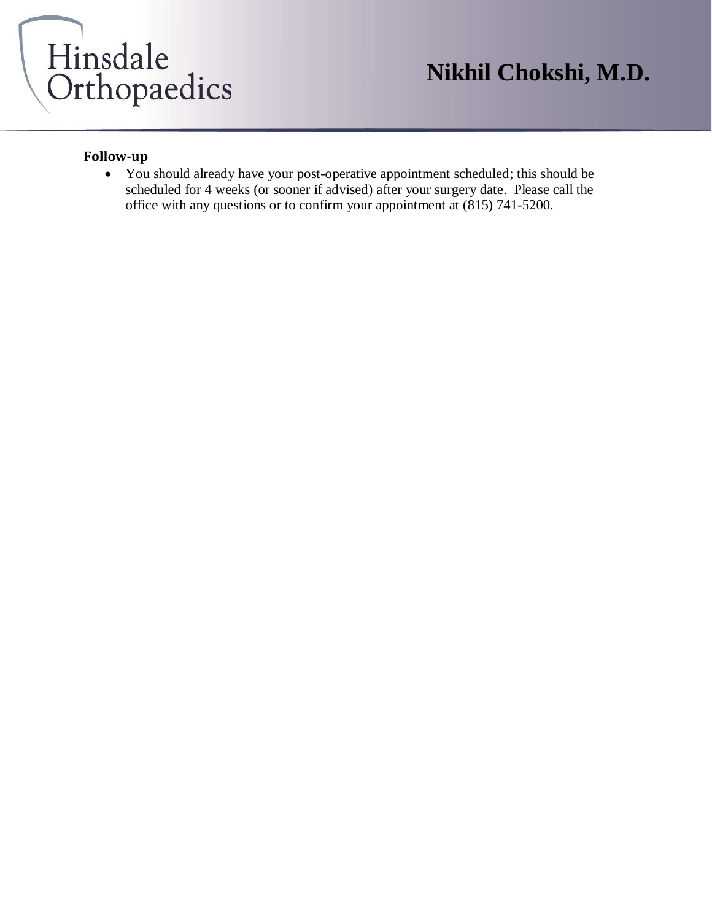

## **Nikhil Chokshi, M.D.**

#### **Follow-up**

• You should already have your post-operative appointment scheduled; this should be scheduled for 4 weeks (or sooner if advised) after your surgery date. Please call the office with any questions or to confirm your appointment at (815) 741-5200.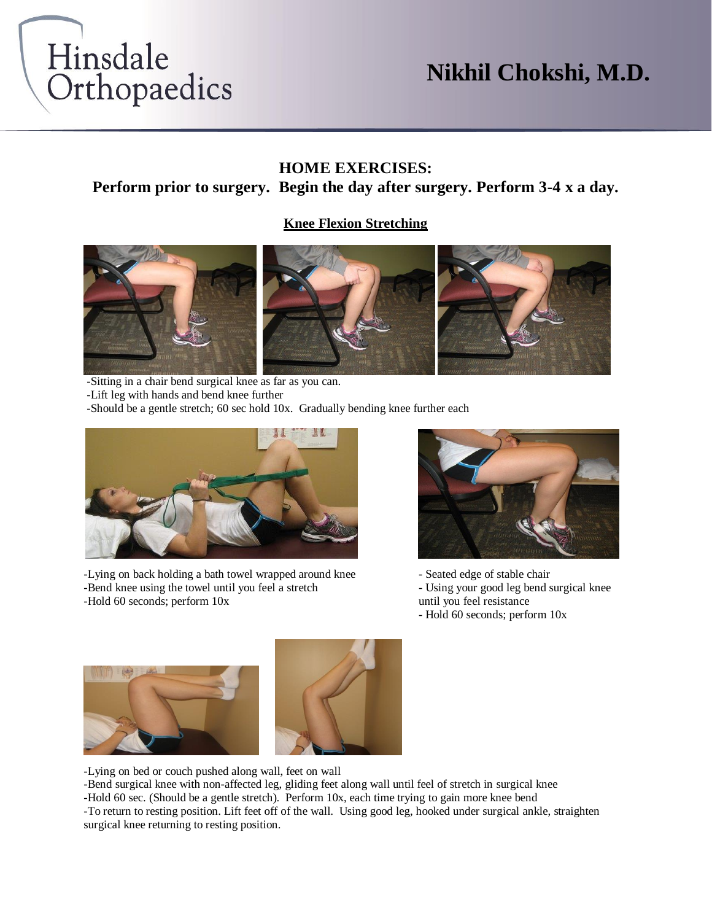

## **Nikhil Chokshi, M.D.**

#### **HOME EXERCISES:**

#### **Perform prior to surgery. Begin the day after surgery. Perform 3-4 x a day.**

#### **Knee Flexion Stretching**



-Sitting in a chair bend surgical knee as far as you can. -Lift leg with hands and bend knee further

-Should be a gentle stretch; 60 sec hold 10x. Gradually bending knee further each



-Lying on back holding a bath towel wrapped around knee - Seated edge of stable chair -Bend knee using the towel until you feel a stretch - Using your good leg bend surgical knee -Hold 60 seconds; perform  $10x$  until you feel resistance



- Hold 60 seconds; perform 10x





-Lying on bed or couch pushed along wall, feet on wall

-Bend surgical knee with non-affected leg, gliding feet along wall until feel of stretch in surgical knee -Hold 60 sec. (Should be a gentle stretch). Perform 10x, each time trying to gain more knee bend -To return to resting position. Lift feet off of the wall. Using good leg, hooked under surgical ankle, straighten surgical knee returning to resting position.